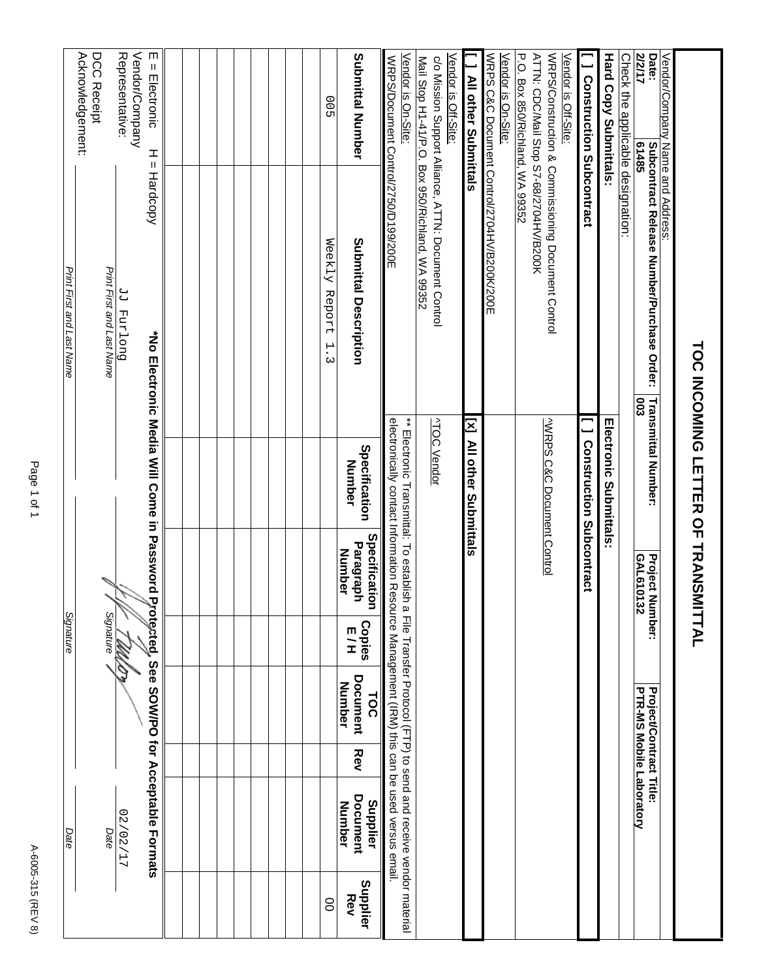| ** Electronic Transmittal: To establish a File Transfer Procol (FTP) to send and receive vendor material<br>Specification<br>Paragraph<br><b>Number</b><br>GAL610132<br><b>Project N</b><br>Protecd, See SOW/PO for Acceptable Formats<br>umber:<br>Signature<br>Signature<br><b>Copies</b><br>ロコ<br>Document<br>Number<br>PTR-MS Mobile Laboratory<br><b>Project/Contract Title:</b><br>TOC<br>Rev<br>Document<br>Supplier<br>Number<br>17/202/27<br>Date<br>Date | Print First and Last Name | Acknowledgement:<br>DCC Receipt<br>Print First and Last Name | Representative:<br>Vendor/Company<br>Duo Land PP | m<br>$=$ Electronic<br>ᆂ<br>Ш<br>Hardcopy  |  |  |  |  | 00<br>Weekly Report<br>$\mathbf{H}$<br>ω | Submittal Number<br>Submittal Description  | Vendor is On-Site:<br>WRPS/Document Control/2750/D199/200E                                 | Mail Stop H1-41/P.O. Box 950/Richland, WA 99352 | Vendor is Off-Site:<br>c/o Mission Support Alliance, ATTN: Document Control | All other Submittals    | WRPS C&C Document Control/2704HV/B200K/200E<br>Vendor is On-Site: | P.O. Box 850/Richland, WA 99352 | ATTN: CDC/Mail Stop S7-68/2704HV/B200K | WRPS/Construction & Commissioning Document Control<br>Vendor is Off-Site: | <b>J</b> Construction Subcontract | <b>Hard Copy Submittals</b>    | Check the applic <u>able designation:</u> | <b>Z12/17</b><br>Date:<br>61485<br><b>Subcontract Release Number/Purchase Order:</b><br><b>COO</b> | Vendor/Company Name and Address: |                                    |
|--------------------------------------------------------------------------------------------------------------------------------------------------------------------------------------------------------------------------------------------------------------------------------------------------------------------------------------------------------------------------------------------------------------------------------------------------------------------|---------------------------|--------------------------------------------------------------|--------------------------------------------------|--------------------------------------------|--|--|--|--|------------------------------------------|--------------------------------------------|--------------------------------------------------------------------------------------------|-------------------------------------------------|-----------------------------------------------------------------------------|-------------------------|-------------------------------------------------------------------|---------------------------------|----------------------------------------|---------------------------------------------------------------------------|-----------------------------------|--------------------------------|-------------------------------------------|----------------------------------------------------------------------------------------------------|----------------------------------|------------------------------------|
|                                                                                                                                                                                                                                                                                                                                                                                                                                                                    |                           |                                                              |                                                  | *No Electronic Media Will Come in Password |  |  |  |  | 8                                        | Specification<br>Number<br>Supplier<br>Rev | electronically contact Information Resource Management (IRM) this can be used versus email |                                                 | <b>ATOC Vendor</b>                                                          | IN MI other Superittais |                                                                   |                                 |                                        | <b>VWRPS C&amp;C Document Control</b>                                     | <b>Construction Subcontract</b>   | <b>Infectronic Submittals:</b> |                                           | <b>Transmittal Number:</b>                                                                         |                                  | TOC INCOMING LETTER OF TRANSMITTAL |

Page 1 of 1 Page 1 of 1

A-6005-315 (REV 8) A-6005-315 (REV 8)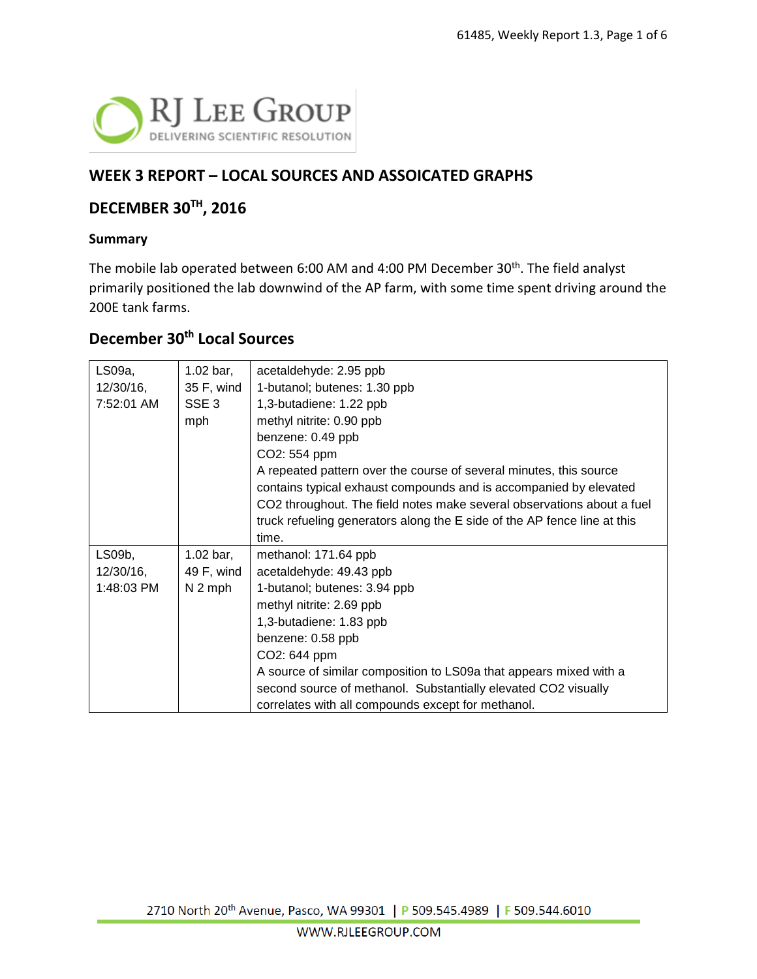

#### **WEEK 3 REPORT – LOCAL SOURCES AND ASSOICATED GRAPHS**

#### **DECEMBER 30TH, 2016**

#### **Summary**

The mobile lab operated between 6:00 AM and 4:00 PM December 30<sup>th</sup>. The field analyst primarily positioned the lab downwind of the AP farm, with some time spent driving around the 200E tank farms.

#### **December 30th Local Sources**

| LS09a,       | $1.02$ bar,          | acetaldehyde: 2.95 ppb                                                   |
|--------------|----------------------|--------------------------------------------------------------------------|
| 12/30/16,    | 35 F, wind           | 1-butanol; butenes: 1.30 ppb                                             |
| 7:52:01 AM   | SSE <sub>3</sub>     | 1,3-butadiene: 1.22 ppb                                                  |
|              | mph                  | methyl nitrite: 0.90 ppb                                                 |
|              |                      | benzene: 0.49 ppb                                                        |
|              |                      | CO2: 554 ppm                                                             |
|              |                      | A repeated pattern over the course of several minutes, this source       |
|              |                      | contains typical exhaust compounds and is accompanied by elevated        |
|              |                      | CO2 throughout. The field notes make several observations about a fuel   |
|              |                      | truck refueling generators along the E side of the AP fence line at this |
|              |                      | time.                                                                    |
| LS09b,       | $1.02 \text{ bar}$ , | methanol: 171.64 ppb                                                     |
| $12/30/16$ , | 49 F, wind           | acetaldehyde: 49.43 ppb                                                  |
| 1:48:03 PM   | $N2$ mph             | 1-butanol; butenes: 3.94 ppb                                             |
|              |                      | methyl nitrite: 2.69 ppb                                                 |
|              |                      | 1,3-butadiene: 1.83 ppb                                                  |
|              |                      | benzene: 0.58 ppb                                                        |
|              |                      | CO2: 644 ppm                                                             |
|              |                      | A source of similar composition to LS09a that appears mixed with a       |
|              |                      | second source of methanol. Substantially elevated CO2 visually           |
|              |                      | correlates with all compounds except for methanol.                       |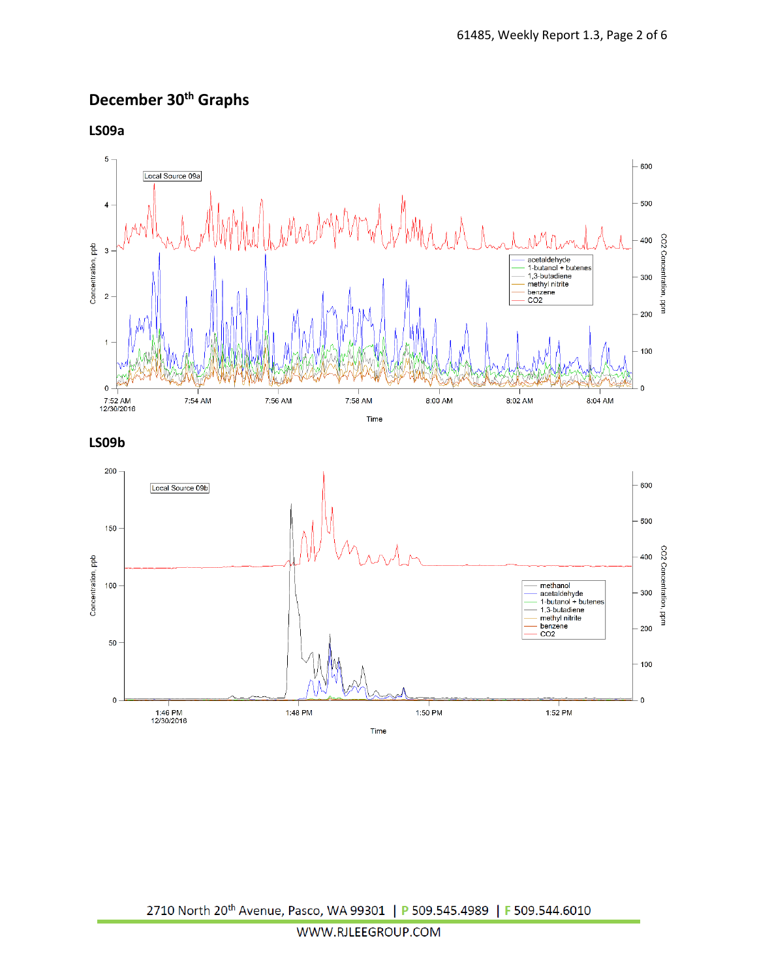# **December 30th Graphs**

**LS09a**

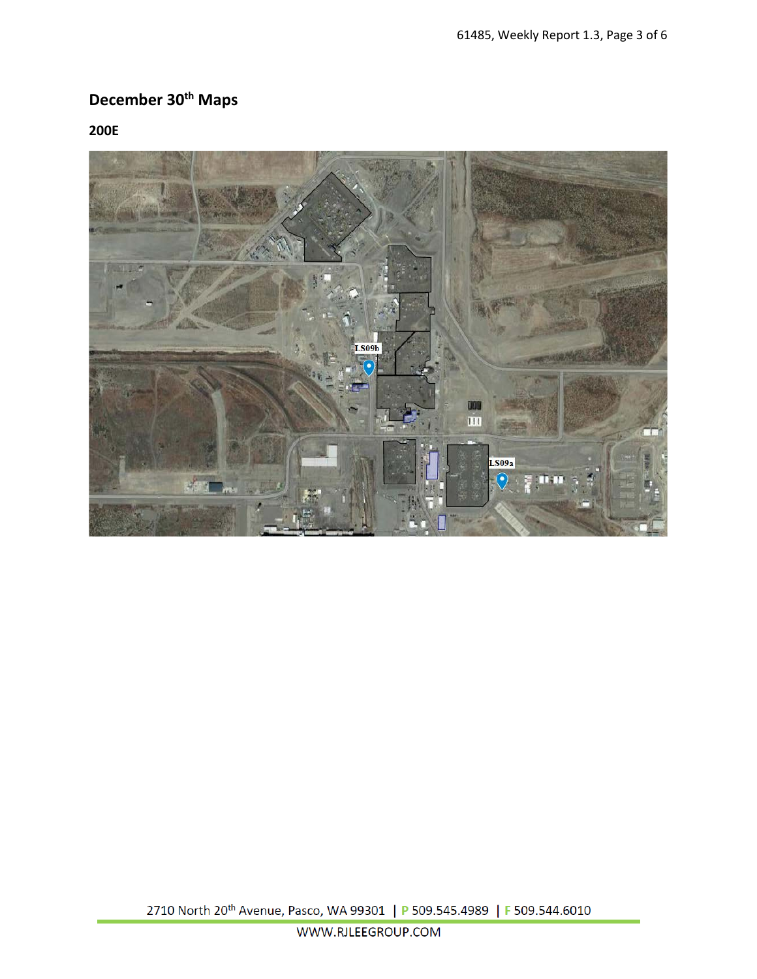# **December 30th Maps**

**200E**

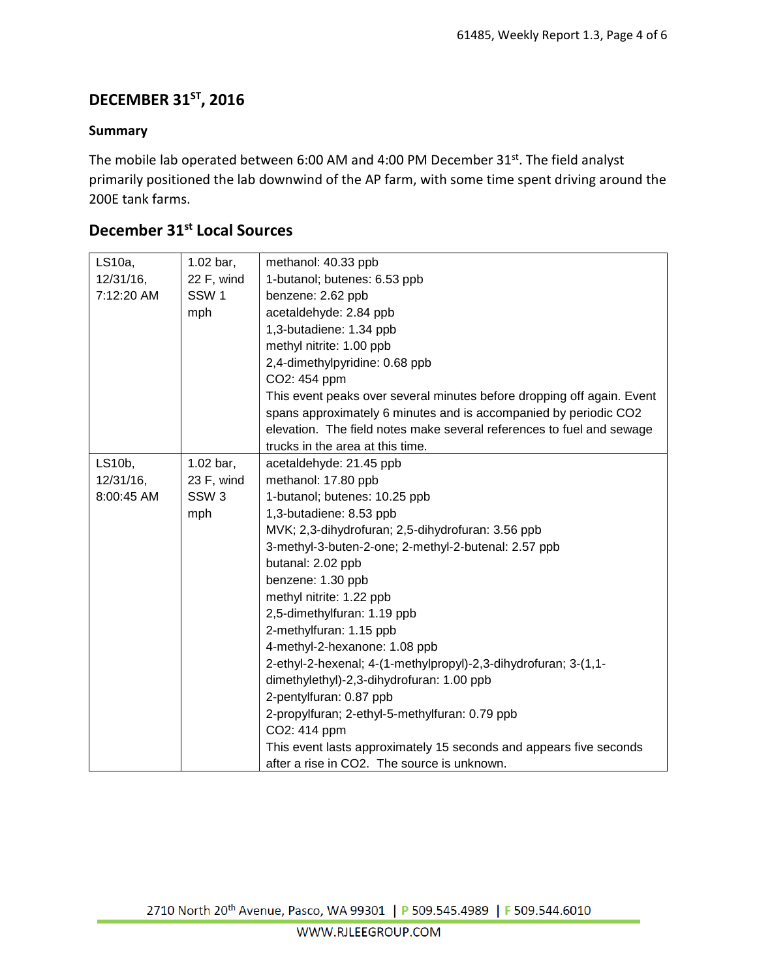### **DECEMBER 31ST, 2016**

#### **Summary**

The mobile lab operated between 6:00 AM and 4:00 PM December 31st. The field analyst primarily positioned the lab downwind of the AP farm, with some time spent driving around the 200E tank farms.

### **December 31st Local Sources**

| LS10a,       | $1.02$ bar,      | methanol: 40.33 ppb                                                    |  |  |  |  |  |  |  |
|--------------|------------------|------------------------------------------------------------------------|--|--|--|--|--|--|--|
| $12/31/16$ , | 22 F, wind       | 1-butanol; butenes: 6.53 ppb                                           |  |  |  |  |  |  |  |
| 7:12:20 AM   | SSW <sub>1</sub> | benzene: 2.62 ppb                                                      |  |  |  |  |  |  |  |
|              | mph              | acetaldehyde: 2.84 ppb                                                 |  |  |  |  |  |  |  |
|              |                  | 1,3-butadiene: 1.34 ppb                                                |  |  |  |  |  |  |  |
|              |                  | methyl nitrite: 1.00 ppb                                               |  |  |  |  |  |  |  |
|              |                  | 2,4-dimethylpyridine: 0.68 ppb                                         |  |  |  |  |  |  |  |
|              |                  | CO2: 454 ppm                                                           |  |  |  |  |  |  |  |
|              |                  | This event peaks over several minutes before dropping off again. Event |  |  |  |  |  |  |  |
|              |                  | spans approximately 6 minutes and is accompanied by periodic CO2       |  |  |  |  |  |  |  |
|              |                  | elevation. The field notes make several references to fuel and sewage  |  |  |  |  |  |  |  |
|              |                  | trucks in the area at this time.                                       |  |  |  |  |  |  |  |
| LS10b,       | 1.02 bar,        | acetaldehyde: 21.45 ppb                                                |  |  |  |  |  |  |  |
| 12/31/16,    | 23 F, wind       | methanol: 17.80 ppb                                                    |  |  |  |  |  |  |  |
| 8:00:45 AM   | SSW <sub>3</sub> | 1-butanol; butenes: 10.25 ppb                                          |  |  |  |  |  |  |  |
|              | mph              | 1,3-butadiene: 8.53 ppb                                                |  |  |  |  |  |  |  |
|              |                  | MVK; 2,3-dihydrofuran; 2,5-dihydrofuran: 3.56 ppb                      |  |  |  |  |  |  |  |
|              |                  | 3-methyl-3-buten-2-one; 2-methyl-2-butenal: 2.57 ppb                   |  |  |  |  |  |  |  |
|              |                  | butanal: 2.02 ppb                                                      |  |  |  |  |  |  |  |
|              |                  | benzene: 1.30 ppb                                                      |  |  |  |  |  |  |  |
|              |                  | methyl nitrite: 1.22 ppb                                               |  |  |  |  |  |  |  |
|              |                  | 2,5-dimethylfuran: 1.19 ppb                                            |  |  |  |  |  |  |  |
|              |                  | 2-methylfuran: 1.15 ppb                                                |  |  |  |  |  |  |  |
|              |                  | 4-methyl-2-hexanone: 1.08 ppb                                          |  |  |  |  |  |  |  |
|              |                  | 2-ethyl-2-hexenal; 4-(1-methylpropyl)-2,3-dihydrofuran; 3-(1,1-        |  |  |  |  |  |  |  |
|              |                  | dimethylethyl)-2,3-dihydrofuran: 1.00 ppb                              |  |  |  |  |  |  |  |
|              |                  | 2-pentylfuran: 0.87 ppb                                                |  |  |  |  |  |  |  |
|              |                  | 2-propylfuran; 2-ethyl-5-methylfuran: 0.79 ppb                         |  |  |  |  |  |  |  |
|              |                  | CO2: 414 ppm                                                           |  |  |  |  |  |  |  |
|              |                  | This event lasts approximately 15 seconds and appears five seconds     |  |  |  |  |  |  |  |
|              |                  | after a rise in CO2. The source is unknown.                            |  |  |  |  |  |  |  |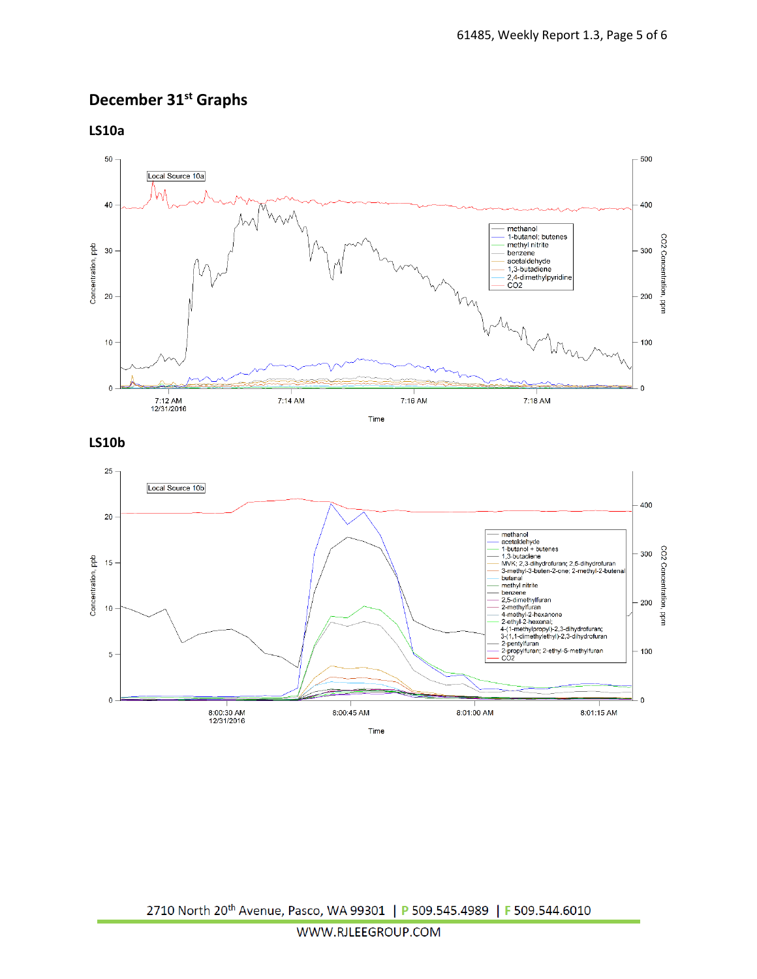### **December 31st Graphs**

**LS10a**



**LS10b**